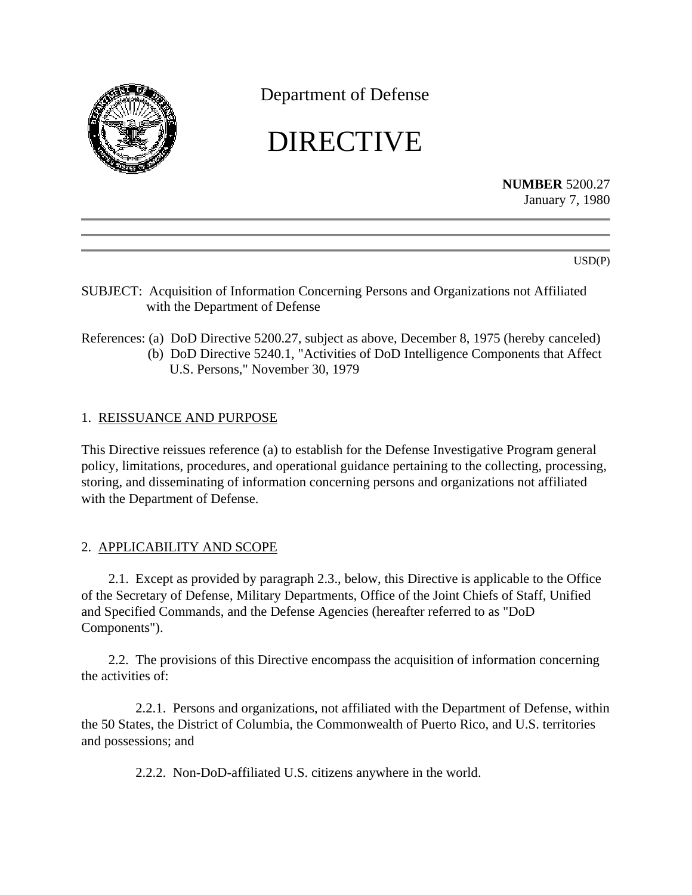

Department of Defense

# DIRECTIVE

**NUMBER** 5200.27 January 7, 1980

USD(P)

- SUBJECT: Acquisition of Information Concerning Persons and Organizations not Affiliated with the Department of Defense
- References: (a) DoD Directive 5200.27, subject as above, December 8, 1975 (hereby canceled) (b) DoD Directive 5240.1, "Activities of DoD Intelligence Components that Affect U.S. Persons," November 30, 1979

# 1. REISSUANCE AND PURPOSE

This Directive reissues reference (a) to establish for the Defense Investigative Program general policy, limitations, procedures, and operational guidance pertaining to the collecting, processing, storing, and disseminating of information concerning persons and organizations not affiliated with the Department of Defense.

# 2. APPLICABILITY AND SCOPE

2.1. Except as provided by paragraph 2.3., below, this Directive is applicable to the Office of the Secretary of Defense, Military Departments, Office of the Joint Chiefs of Staff, Unified and Specified Commands, and the Defense Agencies (hereafter referred to as "DoD Components").

2.2. The provisions of this Directive encompass the acquisition of information concerning the activities of:

2.2.1. Persons and organizations, not affiliated with the Department of Defense, within the 50 States, the District of Columbia, the Commonwealth of Puerto Rico, and U.S. territories and possessions; and

2.2.2. Non-DoD-affiliated U.S. citizens anywhere in the world.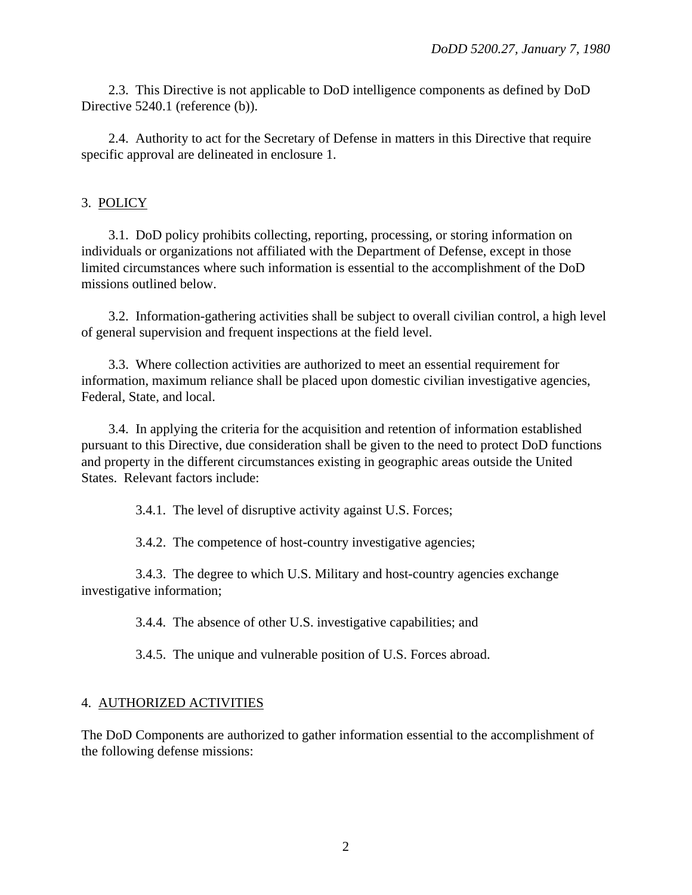2.3. This Directive is not applicable to DoD intelligence components as defined by DoD Directive 5240.1 (reference (b)).

2.4. Authority to act for the Secretary of Defense in matters in this Directive that require specific approval are delineated in enclosure 1.

## 3. POLICY

3.1. DoD policy prohibits collecting, reporting, processing, or storing information on individuals or organizations not affiliated with the Department of Defense, except in those limited circumstances where such information is essential to the accomplishment of the DoD missions outlined below.

3.2. Information-gathering activities shall be subject to overall civilian control, a high level of general supervision and frequent inspections at the field level.

3.3. Where collection activities are authorized to meet an essential requirement for information, maximum reliance shall be placed upon domestic civilian investigative agencies, Federal, State, and local.

3.4. In applying the criteria for the acquisition and retention of information established pursuant to this Directive, due consideration shall be given to the need to protect DoD functions and property in the different circumstances existing in geographic areas outside the United States. Relevant factors include:

3.4.1. The level of disruptive activity against U.S. Forces;

3.4.2. The competence of host-country investigative agencies;

3.4.3. The degree to which U.S. Military and host-country agencies exchange investigative information;

3.4.4. The absence of other U.S. investigative capabilities; and

3.4.5. The unique and vulnerable position of U.S. Forces abroad.

### 4. AUTHORIZED ACTIVITIES

The DoD Components are authorized to gather information essential to the accomplishment of the following defense missions: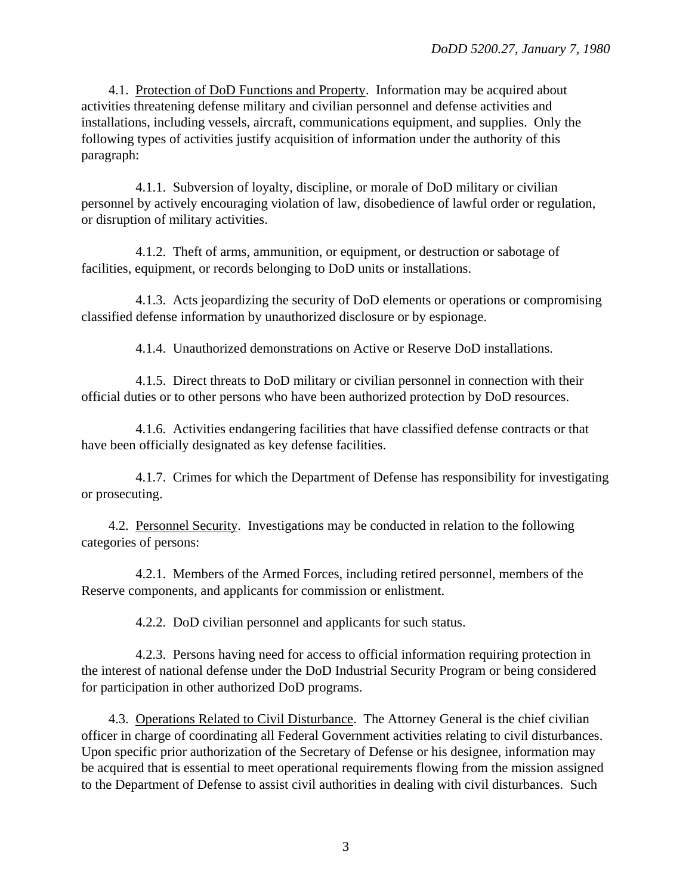4.1. Protection of DoD Functions and Property. Information may be acquired about activities threatening defense military and civilian personnel and defense activities and installations, including vessels, aircraft, communications equipment, and supplies. Only the following types of activities justify acquisition of information under the authority of this paragraph:

4.1.1. Subversion of loyalty, discipline, or morale of DoD military or civilian personnel by actively encouraging violation of law, disobedience of lawful order or regulation, or disruption of military activities.

4.1.2. Theft of arms, ammunition, or equipment, or destruction or sabotage of facilities, equipment, or records belonging to DoD units or installations.

4.1.3. Acts jeopardizing the security of DoD elements or operations or compromising classified defense information by unauthorized disclosure or by espionage.

4.1.4. Unauthorized demonstrations on Active or Reserve DoD installations.

4.1.5. Direct threats to DoD military or civilian personnel in connection with their official duties or to other persons who have been authorized protection by DoD resources.

4.1.6. Activities endangering facilities that have classified defense contracts or that have been officially designated as key defense facilities.

4.1.7. Crimes for which the Department of Defense has responsibility for investigating or prosecuting.

4.2. Personnel Security. Investigations may be conducted in relation to the following categories of persons:

4.2.1. Members of the Armed Forces, including retired personnel, members of the Reserve components, and applicants for commission or enlistment.

4.2.2. DoD civilian personnel and applicants for such status.

4.2.3. Persons having need for access to official information requiring protection in the interest of national defense under the DoD Industrial Security Program or being considered for participation in other authorized DoD programs.

4.3. Operations Related to Civil Disturbance. The Attorney General is the chief civilian officer in charge of coordinating all Federal Government activities relating to civil disturbances. Upon specific prior authorization of the Secretary of Defense or his designee, information may be acquired that is essential to meet operational requirements flowing from the mission assigned to the Department of Defense to assist civil authorities in dealing with civil disturbances. Such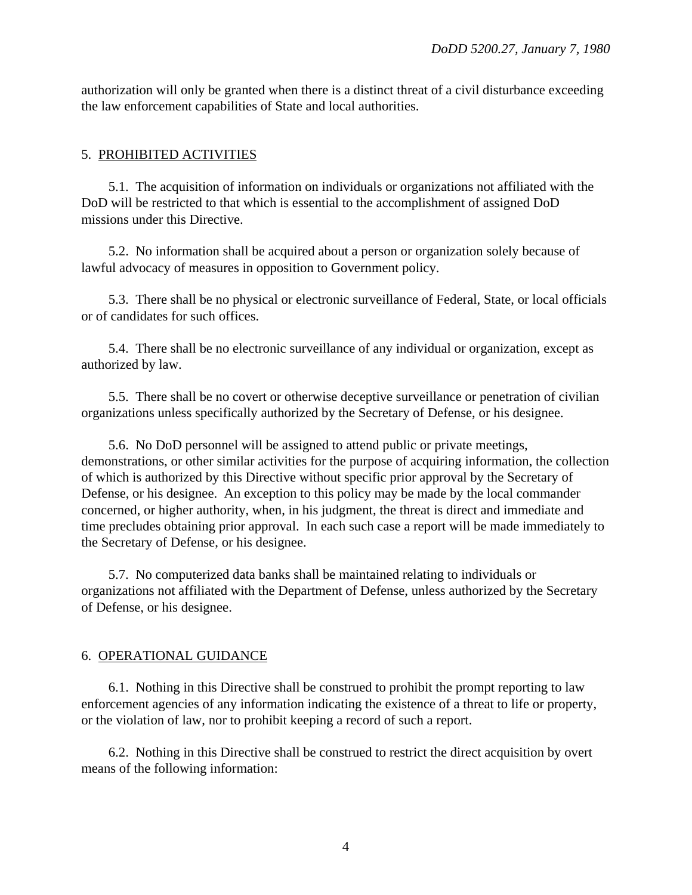authorization will only be granted when there is a distinct threat of a civil disturbance exceeding the law enforcement capabilities of State and local authorities.

#### 5. PROHIBITED ACTIVITIES

5.1. The acquisition of information on individuals or organizations not affiliated with the DoD will be restricted to that which is essential to the accomplishment of assigned DoD missions under this Directive.

5.2. No information shall be acquired about a person or organization solely because of lawful advocacy of measures in opposition to Government policy.

5.3. There shall be no physical or electronic surveillance of Federal, State, or local officials or of candidates for such offices.

5.4. There shall be no electronic surveillance of any individual or organization, except as authorized by law.

5.5. There shall be no covert or otherwise deceptive surveillance or penetration of civilian organizations unless specifically authorized by the Secretary of Defense, or his designee.

5.6. No DoD personnel will be assigned to attend public or private meetings, demonstrations, or other similar activities for the purpose of acquiring information, the collection of which is authorized by this Directive without specific prior approval by the Secretary of Defense, or his designee. An exception to this policy may be made by the local commander concerned, or higher authority, when, in his judgment, the threat is direct and immediate and time precludes obtaining prior approval. In each such case a report will be made immediately to the Secretary of Defense, or his designee.

5.7. No computerized data banks shall be maintained relating to individuals or organizations not affiliated with the Department of Defense, unless authorized by the Secretary of Defense, or his designee.

#### 6. OPERATIONAL GUIDANCE

6.1. Nothing in this Directive shall be construed to prohibit the prompt reporting to law enforcement agencies of any information indicating the existence of a threat to life or property, or the violation of law, nor to prohibit keeping a record of such a report.

6.2. Nothing in this Directive shall be construed to restrict the direct acquisition by overt means of the following information: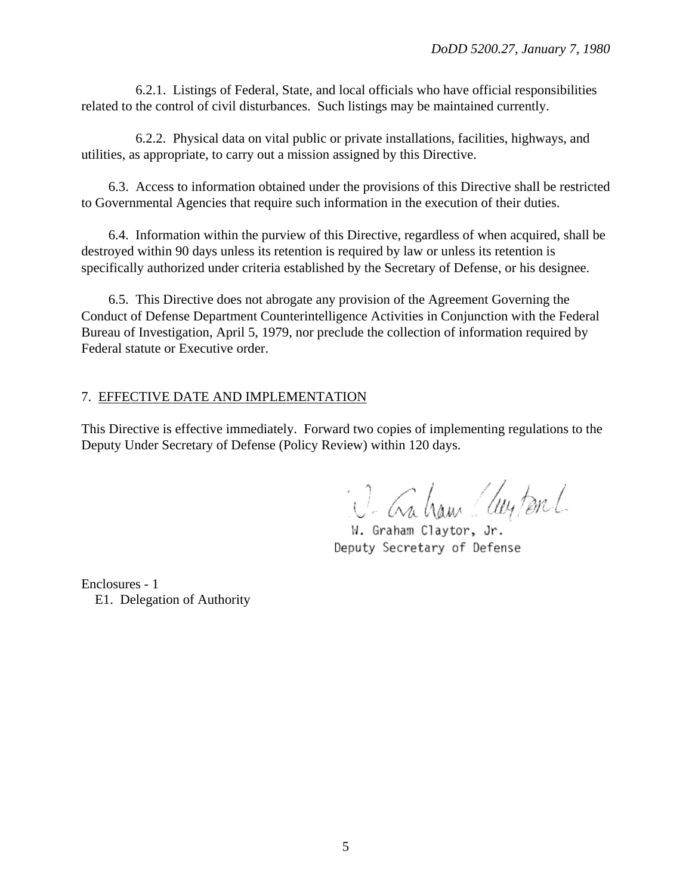6.2.1. Listings of Federal, State, and local officials who have official responsibilities related to the control of civil disturbances. Such listings may be maintained currently.

6.2.2. Physical data on vital public or private installations, facilities, highways, and utilities, as appropriate, to carry out a mission assigned by this Directive.

6.3. Access to information obtained under the provisions of this Directive shall be restricted to Governmental Agencies that require such information in the execution of their duties.

6.4. Information within the purview of this Directive, regardless of when acquired, shall be destroyed within 90 days unless its retention is required by law or unless its retention is specifically authorized under criteria established by the Secretary of Defense, or his designee.

6.5. This Directive does not abrogate any provision of the Agreement Governing the Conduct of Defense Department Counterintelligence Activities in Conjunction with the Federal Bureau of Investigation, April 5, 1979, nor preclude the collection of information required by Federal statute or Executive order.

#### 7. EFFECTIVE DATE AND IMPLEMENTATION

This Directive is effective immediately. Forward two copies of implementing regulations to the Deputy Under Secretary of Defense (Policy Review) within 120 days.

i. C. Gaham (leyton L

W. Graham Claytor, Jr. Deputy Secretary of Defense

Enclosures - 1 E1. Delegation of Authority